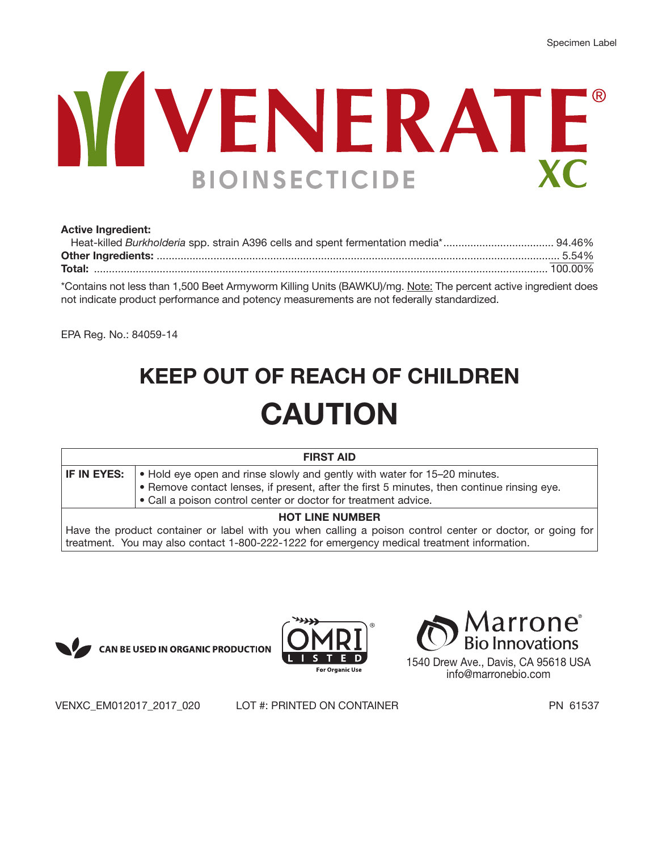# WENERATE **BIOINSECTICIDE**

#### **Active Ingredient:**

\*Contains not less than 1,500 Beet Armyworm Killing Units (BAWKU)/mg. Note: The percent active ingredient does not indicate product performance and potency measurements are not federally standardized.

EPA Reg. No.: 84059-14

# **KEEP OUT OF REACH OF CHILDREN CAUTION**

|                        | <b>FIRST AID</b>                                                                                                                                                        |  |
|------------------------|-------------------------------------------------------------------------------------------------------------------------------------------------------------------------|--|
| IF IN EYES:            | • Hold eye open and rinse slowly and gently with water for 15–20 minutes.<br>. Remove contact lenses, if present, after the first 5 minutes, then continue rinsing eye. |  |
|                        | • Call a poison control center or doctor for treatment advice.                                                                                                          |  |
| <b>HOT LINE NUMBER</b> |                                                                                                                                                                         |  |
|                        | Have the product container or label with you when calling a poison control center or doctor, or going for                                                               |  |

Have the product container or label with you when calling a poison control center or doctor, or going for treatment. You may also contact 1-800-222-1222 for emergency medical treatment information.







1540 Drew Ave., Davis, CA 95618 USA info@marronebio.com

VENXC\_EM012017\_2017\_020 LOT #: PRINTED ON CONTAINER PN 61537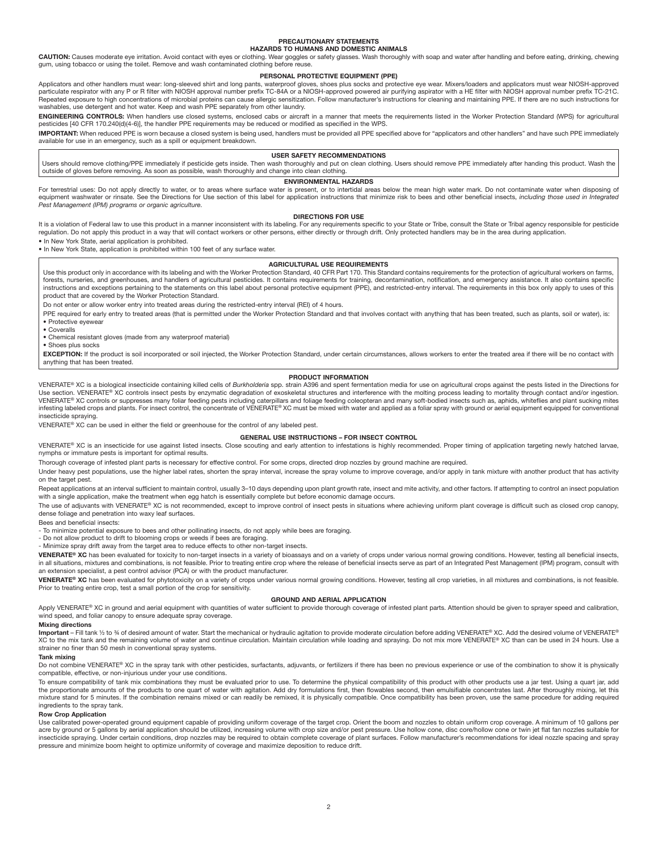#### **PRECAUTIONARY STATEMENTS HAZARDS TO HUMANS AND DOMESTIC ANIMALS**

CAUTION: Causes moderate eye irritation. Avoid contact with eyes or clothing. Wear goggles or safety glasses. Wash thoroughly with soap and water after handling and before eating, drinking, chewing gum, using tobacco or using the toilet. Remove and wash contaminated clothing before reuse.

#### **PERSONAL PROTECTIVE EQUIPMENT (PPE)**

Applicators and other handlers must wear: long-sleeved shirt and long pants, waterproof gloves, shoes plus socks and protective eye wear. Mixers/loaders and applicators must wear NIOSH-approved<br>particulate respirator with washables, use detergent and hot water. Keep and wash PPE separately from other laundry.

ENGINEERING CONTROLS: When handlers use closed systems, enclosed cabs or aircraft in a manner that meets the requirements listed in the Worker Protection Standard (WPS) for agricultural pesticides [40 CFR 170.240(d)(4-6)], the handler PPE requirements may be reduced or modified as specified in the WPS.

IMPORTANT: When reduced PPE is worn because a closed system is being used, handlers must be provided all PPE specified above for "applicators and other handlers" and have such PPE immediately available for use in an emergency, such as a spill or equipment breakdown.

#### **USER SAFETY RECOMMENDATIONS**

Users should remove clothing/PPE immediately if pesticide gets inside. Then wash thoroughly and put on clean clothing. Users should remove PPE immediately after handing this product. Wash the outside of gloves before removing. As soon as possible, wash thoroughly and change into clean clothing.

#### **ENVIRONMENTAL HAZARDS**

For terrestrial uses: Do not apply directly to water, or to areas where surface water is present, or to intertidal areas below the mean high water mark. Do not contaminate water when disposing of equipment washwater or rinsate. See the Directions for Use section of this label for application instructions that minimize risk to bees and other beneficial insects, *including those used in Integrated Pest Management (IPM) programs or organic agriculture.*

#### **DIRECTIONS FOR USE**

It is a violation of Federal law to use this product in a manner inconsistent with its labeling. For any requirements specific to your State or Tribe, consult the State or Tribal agency responsible for pesticide regulation. Do not apply this product in a way that will contact workers or other persons, either directly or through drift. Only protected handlers may be in the area during application. • In New York State, aerial application is prohibited.

• In New York State, application is prohibited within 100 feet of any surface water.

#### **AGRICULTURAL USE REQUIREMENTS**

Use this product only in accordance with its labeling and with the Worker Protection Standard, 40 CFR Part 170. This Standard contains requirements for the protection of agricultural workers on farms, forests, nurseries, and greenhouses, and handlers of agricultural pesticides. It contains requirements for training, decontamination, notification, and emergency assistance. It also contains specific instructions and exceptions pertaining to the statements on this label about personal protective equipment (PPE), and restricted-entry interval. The requirements in this box only apply to uses of this product that are covered by the Worker Protection Standard.

Do not enter or allow worker entry into treated areas during the restricted-entry interval (REI) of 4 hours.

PPE required for early entry to treated areas (that is permitted under the Worker Protection Standard and that involves contact with anything that has been treated, such as plants, soil or water), is: • Protective eyewear

• Coveralls

• Chemical resistant gloves (made from any waterproof material)

• Shoes plus socks

EXCEPTION: If the product is soil incorporated or soil injected, the Worker Protection Standard, under certain circumstances, allows workers to enter the treated area if there will be no contact with anything that has been treated.

#### **PRODUCT INFORMATION**

VENERATE® XC is a biological insecticide containing killed cells of *Burkholderia* spp. strain A396 and spent fermentation media for use on agricultural crops against the pests listed in the Directions for Use section. VENERATE® XC controls insect pests by enzymatic degradation of exoskeletal structures and interference with the molting process leading to mortality through contact and/or ingestion.<br>VENERATE® XC controls or infesting labeled crops and plants. For insect control, the concentrate of VENERATE® XC must be mixed with water and applied as a foliar spray with ground or aerial equipment equipped for conventional insecticide spraying.

VENERATE® XC can be used in either the field or greenhouse for the control of any labeled pest.

#### **GENERAL USE INSTRUCTIONS – FOR INSECT CONTROL**

VENERATE® XC is an insecticide for use against listed insects. Close scouting and early attention to infestations is highly recommended. Proper timing of application targeting newly hatched larvae, nymphs or immature pests is important for optimal results.

Thorough coverage of infested plant parts is necessary for effective control. For some crops, directed drop nozzles by ground machine are required.

Under heavy pest populations, use the higher label rates, shorten the spray interval, increase the spray volume to improve coverage, and/or apply in tank mixture with another product that has activity on the target pest.

Repeat applications at an interval sufficient to maintain control, usually 3-10 days depending upon plant growth rate, insect and mite activity, and other factors. If attempting to control an insect population with a single application, make the treatment when egg hatch is essentially complete but before economic damage occurs.

The use of adjuvants with VENERATE® XC is not recommended, except to improve control of insect pests in situations where achieving uniform plant coverage is difficult such as closed crop canopy, dense foliage and penetration into waxy leaf surfaces.

#### Bees and beneficial insects:

- To minimize potential exposure to bees and other pollinating insects, do not apply while bees are foraging.

- Do not allow product to drift to blooming crops or weeds if bees are foraging. - Minimize spray drift away from the target area to reduce effects to other non-target insects.

**VENERATE® XC** has been evaluated for toxicity to non-target insects in a variety of bioassays and on a variety of crops under various normal growing conditions. However, testing all beneficial insects, in all situations, mixtures and combinations, is not feasible. Prior to treating entire crop where the release of beneficial insects serve as part of an Integrated Pest Management (IPM) program, consult with an extension specialist, a pest control advisor (PCA) or with the product manufacturer.

**VENERATE® XC** has been evaluated for phytotoxicity on a variety of crops under various normal growing conditions. However, testing all crop varieties, in all mixtures and combinations, is not feasible. Prior to treating entire crop, test a small portion of the crop for sensitivity.

#### **GROUND AND AERIAL APPLICATION**

Apply VENERATE® XC in ground and aerial equipment with quantities of water sufficient to provide thorough coverage of infested plant parts. Attention should be given to sprayer speed and calibration, wind speed, and foliar canopy to ensure adequate spray coverage.

#### **Mixing directions**

Important – Fill tank ½ to ¾ of desired amount of water. Start the mechanical or hydraulic agitation to provide moderate circulation before adding VENERATE® XC. Add the desired volume of VENERATE® XC to the mix tank and the remaining volume of water and continue circulation. Maintain circulation while loading and spraying. Do not mix more VENERATE® XC than can be used in 24 hours. Use a strainer no finer than 50 mesh in conventional spray systems.

#### **Tank mixing**

Do not combine VENERATE® XC in the spray tank with other pesticides, surfactants, adjuvants, or fertilizers if there has been no previous experience or use of the combination to show it is physically compatible, effective, or non-injurious under your use conditions.

To ensure compatibility of tank mix combinations they must be evaluated prior to use. To determine the physical compatibility of this product with other products use a jar test. Using a quart jar, add the proportionate amounts of the products to one quart of water with agitation. Add dry formulations first, then flowables second, then emulsifiable concentrates last. After thoroughly mixing, let this mixture stand for 5 minutes. If the combination remains mixed or can readily be remixed, it is physically compatible. Once compatibility has been proven, use the same procedure for adding required ingredients to the spray tank.

#### **Row Crop Application**

Use calibrated power-operated ground equipment capable of providing uniform coverage of the target crop. Orient the boom and nozzles to obtain uniform crop coverage. A minimum of 10 gallons per acre by ground or 5 gallons by aerial application should be utilized, increasing volume with crop size and/or pest pressure. Use hollow cone, disc core/hollow cone or twin iet flat fan nozzles suitable for insecticide spraying. Under certain conditions, drop nozzles may be required to obtain complete coverage of plant surfaces. Follow manufacturer's recommendations for ideal nozzle spacing and spray pressure and minimize boom height to optimize uniformity of coverage and maximize deposition to reduce drift.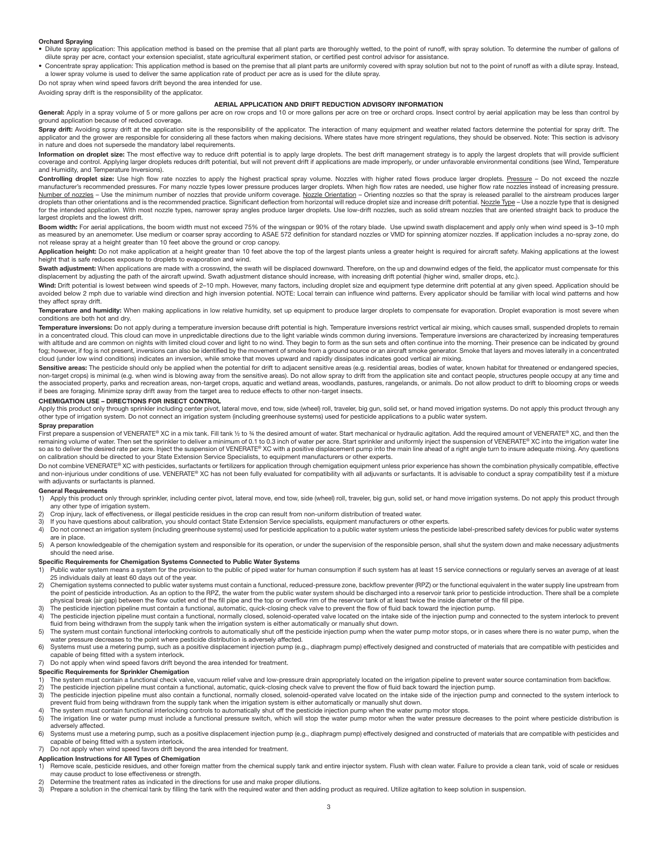#### **Orchard Spraying**

- Dilute spray application: This application method is based on the premise that all plant parts are thoroughly wetted, to the point of runoff, with spray solution. To determine the number of gallons of dilute spray per acre, contact your extension specialist, state agricultural experiment station, or certified pest control advisor for assistance.
- Concentrate spray application: This application method is based on the premise that all plant parts are uniformly covered with spray solution but not to the point of runoff as with a dilute spray. Instead, a lower spray volume is used to deliver the same application rate of product per acre as is used for the dilute spray.

Do not spray when wind speed favors drift beyond the area intended for use.

Avoiding spray drift is the responsibility of the applicator.

#### **AERIAL APPLICATION AND DRIFT REDUCTION ADVISORY INFORMATION**

General: Apply in a spray volume of 5 or more gallons per acre on row crops and 10 or more gallons per acre on tree or orchard crops. Insect control by aerial application may be less than control by ground application because of reduced coverage.

Spray drift: Avoiding spray drift at the application site is the responsibility of the applicator. The interaction of many equipment and weather related factors determine the potential for spray drift. The applicator and the grower are responsible for considering all these factors when making decisions. Where states have more stringent regulations, they should be observed. Note: This section is advisory in nature and does not supersede the mandatory label requirements.

**Information on droplet size:** The most effective way to reduce drift potential is to apply large droplets. The best drift management strategy is to apply the largest droplets that will provide sufficient coverage and control. Applying larger droplets reduces drift potential, but will not prevent drift if applications are made improperly, or under unfavorable environmental conditions (see Wind, Temperature and Humidity, and Temperature Inversions).

Controlling droplet size: Use high flow rate nozzles to apply the highest practical spray volume. Nozzles with higher rated flows produce larger droplets. Pressure - Do not exceed the nozzle manufacturer's recommended pressures. For many nozzle types lower pressure produces larger droplets. When high flow rates are needed, use higher flow rate nozzles instead of increasing pressure. Number of nozzles - Use the minimum number of nozzles that provide uniform coverage. Nozzle Orientation - Orienting nozzles so that the spray is released parallel to the airstream produces larger droplets than other orientations and is the recommended practice. Significant deflection from horizontal will reduce droplet size and increase drift potential. Nozzle Type – Use a nozzle type that is designed for the intended application. With most nozzle types, narrower spray angles produce larger droplets. Use low-drift nozzles, such as solid stream nozzles that are oriented straight back to produce the largest droplets and the lowest drift.

Boom width: For aerial applications, the boom width must not exceed 75% of the wingspan or 90% of the rotary blade. Use upwind swath displacement and apply only when wind speed is 3-10 mph as measured by an anemometer. Use medium or coarser spray according to ASAE 572 definition for standard nozzles or VMD for spinning atomizer nozzles. If application includes a no-spray zone, do not release spray at a height greater than 10 feet above the ground or crop canopy.

Application height: Do not make application at a height greater than 10 feet above the top of the largest plants unless a greater height is required for aircraft safety. Making applications at the lowest height that is safe reduces exposure to droplets to evaporation and wind.

Swath adjustment: When applications are made with a crosswind, the swath will be displaced downward. Therefore, on the up and downwind edges of the field, the applicator must compensate for this displacement by adjusting the path of the aircraft upwind. Swath adjustment distance should increase, with increasing drift potential (higher wind, smaller drops, etc.).

Wind: Drift potential is lowest between wind speeds of 2-10 mph. However, many factors, including droplet size and equipment type determine drift potential at any given speed. Application should be avoided below 2 mph due to variable wind direction and high inversion potential. NOTE: Local terrain can influence wind patterns. Every applicator should be familiar with local wind patterns and how they affect spray drift.

Temperature and humidity: When making applications in low relative humidity, set up equipment to produce larger droplets to compensate for evaporation. Droplet evaporation is most severe when conditions are both hot and dry.

**Temperature inversions:** Do not apply during a temperature inversion because drift potential is high. Temperature inversions restrict vertical air mixing, which causes small, suspended droplets to remain in a concentrated cloud. This cloud can move in unpredictable directions due to the light variable winds common during inversions. Temperature inversions are characterized by increasing temperatures with altitude and are common on nights with limited cloud cover and light to no wind. They begin to form as the sun sets and often continue into the morning. Their presence can be indicated by ground fog; however, if fog is not present, inversions can also be identified by the movement of smoke from a ground source or an aircraft smoke generator. Smoke that layers and moves laterally in a concentrated cloud (under low wind conditions) indicates an inversion, while smoke that moves upward and rapidly dissipates indicates good vertical air mixing.

Sensitive areas: The pesticide should only be applied when the potential for drift to adjacent sensitive areas (e.g. residential areas, bodies of water, known habitat for threatened or endangered species, non-target crops) is minimal (e.g. when wind is blowing away from the sensitive areas). Do not allow spray to drift from the application site and contact people, structures people occupy at any time and the associated property, parks and recreation areas, non-target crops, aquatic and wetland areas, woodlands, pastures, rangelands, or animals. Do not allow product to drift to blooming crops or weeds if bees are foraging. Minimize spray drift away from the target area to reduce effects to other non-target insects.

#### **CHEMIGATION USE – DIRECTIONS FOR INSECT CONTROL**

Apply this product only through sprinkler including center pivot, lateral move, end tow, side (wheel) roll, traveler, big gun, solid set, or hand moved irrigation systems. Do not apply this product through any Apply this p other type of irrigation system. Do not connect an irrigation system (including greenhouse systems) used for pesticide applications to a public water system.

#### **Spray preparation**

First prepare a suspension of VENERATE® XC in a mix tank. Fill tank ½ to % the desired amount of water. Start mechanical or hydraulic agitation. Add the required amount of VENERATE® XC, and then the remaining volume of water. Then set the sprinkler to deliver a minimum of 0.1 to 0.3 inch of water per acre. Start sprinkler and uniformly inject the suspension of VENERATE® XC into the irrigation water line so as to deliver the desired rate per acre. Inject the suspension of VENERATE® XC with a positive displacement pump into the main line ahead of a right angle turn to insure adequate mixing. Any questions so as to deliver on calibration should be directed to your State Extension Service Specialists, to equipment manufacturers or other experts.

Do not combine VENERATE® XC with pesticides, surfactants or fertilizers for application through chemigation equipment unless prior experience has shown the combination physically compatible, effective and non-injurious under conditions of use. VENERATE® XC has not been fully evaluated for compatibility with all adjuvants or surfactants. It is advisable to conduct a spray compatibility test if a mixture with adjuvants or surfactants is planned.

#### **General Requirements**

- 1) Apply this product only through sprinkler, including center pivot, lateral move, end tow, side (wheel) roll, traveler, big gun, solid set, or hand move irrigation systems. Do not apply this product through any other type of irrigation system.
- 2) Crop injury, lack of effectiveness, or illegal pesticide residues in the crop can result from non-uniform distribution of treated water.<br>3) If you have questions about calibration, you should contact State Extension Ser
- 3) If you have questions about calibration, you should contact State Extension Service specialists, equipment manufacturers or other experts.
- 4) Do not connect an irrigation system (including greenhouse systems) used for pesticide application to a public water system unless the pesticide label-prescribed safety devices for public water systems are in place.
- 5) A person knowledgeable of the chemigation system and responsible for its operation, or under the supervision of the responsible person, shall shut the system down and make necessary adjustments should the need arise.

#### **Specific Requirements for Chemigation Systems Connected to Public Water Systems**

- 1) Public water system means a system for the provision to the public of piped water for human consumption if such system has at least 15 service connections or regularly serves an average of at least 25 individuals daily at least 60 days out of the year.
- 2) Chemigation systems connected to public water systems must contain a functional, reduced-pressure zone, backflow preventer (RPZ) or the functional equivalent in the water supply line upstream from the point of pesticide introduction. As an option to the RPZ, the water from the public water system should be discharged into a reservoir tank prior to pesticide introduction. There shall be a complete physical break (air gap) between the flow outlet end of the fill pipe and the top or overflow rim of the reservoir tank of at least twice the inside diameter of the fill pipe.
- 3) The pesticide injection pipeline must contain a functional, automatic, quick-closing check valve to prevent the flow of fluid back toward the injection pump.
- 4) The pesticide injection pipeline must contain a functional, normally closed, solenoid-operated valve located on the intake side of the injection pump and connected to the system interlock to prevent fluid from being withdrawn from the supply tank when the irrigation system is either automatically or manually shut down.
- 5) The system must contain functional interlocking controls to automatically shut off the pesticide injection pump when the water pump motor stops, or in cases where there is no water pump, when the water pressure decreases to the point where pesticide distribution is adversely affected.
- 6) Systems must use a metering pump, such as a positive displacement injection pump (e.g., diaphragm pump) effectively designed and constructed of materials that are compatible with pesticides and capable of being fitted with a system interlock.
- 7) Do not apply when wind speed favors drift beyond the area intended for treatment.

## **Specific Requirements for Sprinkler Chemigation**<br>1) The system must contain a functional check valve

- The system must contain a functional check valve, vacuum relief valve and low-pressure drain appropriately located on the irrigation pipeline to prevent water source contamination from backflow.
- 2) The pesticide injection pipeline must contain a functional, automatic, quick-closing check valve to prevent the flow of fluid back toward the injection pump.<br>3) The pesticide injection pipeline must also contain a funct prevent fluid from being withdrawn from the supply tank when the irrigation system is either automatically or manually shut down.
- 
- 4) The system must contain functional interlocking controls to automatically shut off the pesticide injection pump when the water pump motor stops.<br>5) The irrigation line or water pump must include a functional pressure sw adversely affected.
- 6) Systems must use a metering pump, such as a positive displacement injection pump (e.g., diaphragm pump) effectively designed and constructed of materials that are compatible with pesticides and capable of being fitted with a system interlock.
- 7) Do not apply when wind speed favors drift beyond the area intended for treatment.

#### **Application Instructions for All Types of Chemigation**

- 1) Remove scale, pesticide residues, and other foreign matter from the chemical supply tank and entire injector system. Flush with clean water. Failure to provide a clean tank, void of scale or residues may cause product to lose effectiveness or strength.
- 2) Determine the treatment rates as indicated in the directions for use and make proper dilutions.
- 3) Prepare a solution in the chemical tank by filling the tank with the required water and then adding product as required. Utilize agitation to keep solution in suspension.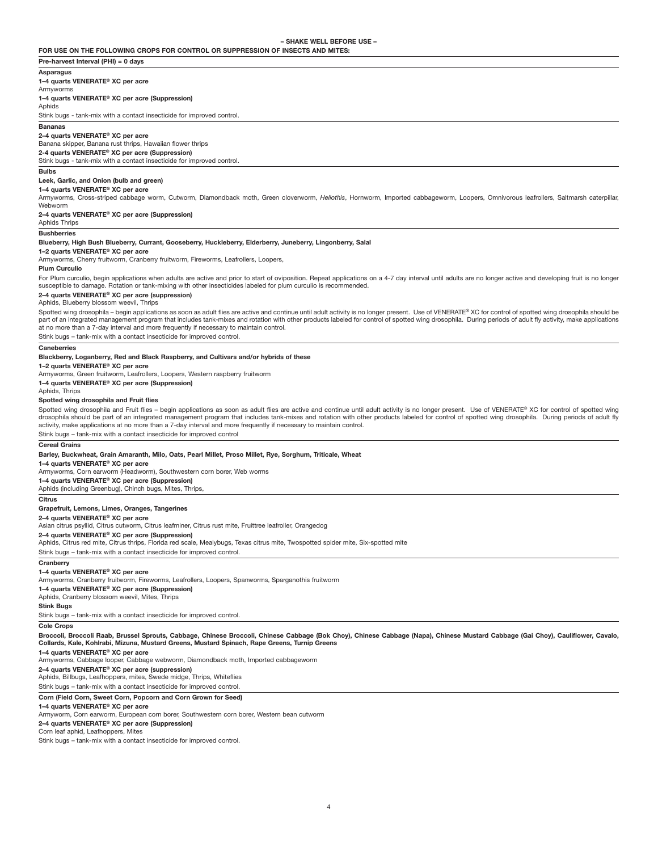**FOR USE ON THE FOLLOWING CROPS FOR CONTROL OR SUPPRESSION OF INSECTS AND MITES:**

#### **Pre-harvest Interval (PHI) = 0 days**

**Asparagus**

**1–4 quarts VENERATE® XC per acre**

#### Armyworms **1–4 quarts VENERATE® XC per acre (Suppression)**

**A**phids

Stink bugs - tank-mix with a contact insecticide for improved control.

#### **Bananas**

**2–4 quarts VENERATE® XC per acre**

#### Banana skipper, Banana rust thrips, Hawaiian flower thrips

**2-4 quarts VENERATE® XC per acre (Suppression)**

#### Stink bugs - tank-mix with a contact insecticide for improved control.

**Bulbs** 

#### **Leek, Garlic, and Onion (bulb and green)**

**1–4 quarts VENERATE® XC per acre**

Armyworms, Cross-striped cabbage worm, Cutworm, Diamondback moth, Green cloverworm, *Heliothis*, Hornworm, Imported cabbageworm, Loopers, Omnivorous leafrollers, Saltmarsh caterpillar, Webworm

#### **2–4 quarts VENERATE® XC per acre (Suppression)**

Aphids Thrips **Bushberries** 

#### **Blueberry, High Bush Blueberry, Currant, Gooseberry, Huckleberry, Elderberry, Juneberry, Lingonberry, Salal**

#### **1–2 quarts VENERATE® XC per acre**

Armyworms, Cherry fruitworm, Cranberry fruitworm, Fireworms, Leafrollers, Loopers,

#### **Plum Curculio**

For Plum curculio, begin applications when adults are active and prior to start of oviposition. Repeat applications on a 4-7 day interval until adults are no longer active and developing fruit is no longer susceptible to damage. Rotation or tank-mixing with other insecticides labeled for plum curculio is recommended.

#### **2–4 quarts VENERATE® XC per acre (suppression)**

Aphids, Blueberry blossom weevil, Thrips

Spotted wing drosophila – begin applications as soon as adult flies are active and continue until adult activity is no longer present. Use of VENERATE® XC for control of spotted wing drosophila should be part of an integrated management program that includes tank-mixes and rotation with other products labeled for control of spotted wing drosophila. During periods of adult fly activity, make applications at no more than a 7-day interval and more frequently if necessary to maintain control.

Stink bugs – tank-mix with a contact insecticide for improved control.

#### **Caneberries**

#### **Blackberry, Loganberry, Red and Black Raspberry, and Cultivars and/or hybrids of these**

**1–2 quarts VENERATE® XC per acre**

#### Armyworms, Green fruitworm, Leafrollers, Loopers, Western raspberry fruitworm

**1–4 quarts VENERATE® XC per acre (Suppression)**

#### Aphids, Thrips

**Spotted wing drosophila and Fruit flies**

Spotted wing drosophila and Fruit flies – begin applications as soon as adult flies are active and continue until adult activity is no longer present. Use of VENERATE® XC for control of spotted wing drosophila should be part of an integrated management program that includes tank-mixes and rotation with other products labeled for control of spotted wing drosophila. During periods of adult fly activity, make applications at no more than a 7-day interval and more frequently if necessary to maintain control.

Stink bugs – tank-mix with a contact insecticide for improved control

#### **Cereal Grains**

**Barley, Buckwheat, Grain Amaranth, Milo, Oats, Pearl Millet, Proso Millet, Rye, Sorghum, Triticale, Wheat**

#### **1–4 quarts VENERATE® XC per acre**

Armyworms, Corn earworm (Headworm), Southwestern corn borer, Web worms

**1–4 quarts VENERATE® XC per acre (Suppression)**

#### Aphids (including Greenbug), Chinch bugs, Mites, Thrips,

**Citrus**

#### **Grapefruit, Lemons, Limes, Oranges, Tangerines**

**2–4 quarts VENERATE® XC per acre**

Asian citrus psyllid, Citrus cutworm, Citrus leafminer, Citrus rust mite, Fruittree leafroller, Orangedog

#### **2–4 quarts VENERATE® XC per acre (Suppression)**

Aphids, Citrus red mite, Citrus thrips, Florida red scale, Mealybugs, Texas citrus mite, Twospotted spider mite, Six-spotted mite

Stink bugs – tank-mix with a contact insecticide for improved control.

#### **Cranberry**

#### **1–4 quarts VENERATE® XC per acre**

Armyworms, Cranberry fruitworm, Fireworms, Leafrollers, Loopers, Spanworms, Sparganothis fruitworm

**1–4 quarts VENERATE® XC per acre (Suppression)** Aphids, Cranberry blossom weevil, Mites, Thrips

#### **Stink Bugs**

Stink bugs – tank-mix with a contact insecticide for improved control.

#### **Cole Crops**

**Broccoli, Broccoli Raab, Brussel Sprouts, Cabbage, Chinese Broccoli, Chinese Cabbage (Bok Choy), Chinese Cabbage (Napa), Chinese Mustard Cabbage (Gai Choy), Cauliflower, Cavalo, Collards, Kale, Kohlrabi, Mizuna, Mustard Greens, Mustard Spinach, Rape Greens, Turnip Greens** 

**1–4 quarts VENERATE® XC per acre**

Armyworms, Cabbage looper, Cabbage webworm, Diamondback moth, Imported cabbageworm

#### **2–4 quarts VENERATE® XC per acre (suppression)**

Aphids, Billbugs, Leafhoppers, mites, Swede midge, Thrips, Whiteflies

Stink bugs – tank-mix with a contact insecticide for improved control.

#### **Corn (Field Corn, Sweet Corn, Popcorn and Corn Grown for Seed)**

**1–4 quarts VENERATE® XC per acre**

Armyworm, Corn earworm, European corn borer, Southwestern corn borer, Western bean cutworm

#### **2–4 quarts VENERATE® XC per acre (Suppression)**

Corn leaf aphid, Leafhoppers, Mites

Stink bugs – tank-mix with a contact insecticide for improved control.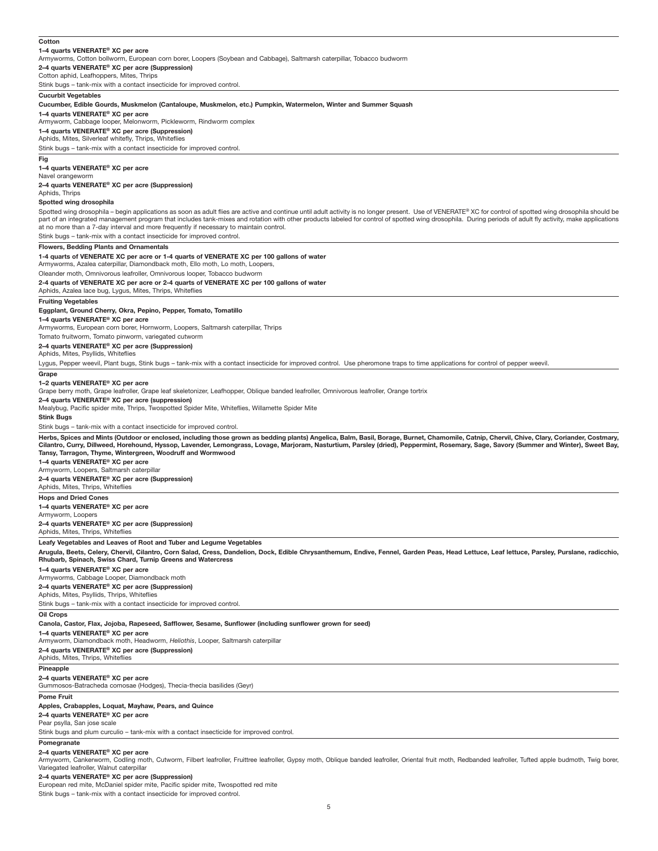#### **1–4 quarts VENERATE® XC per acre** Armyworms, Cotton bollworm, European corn borer, Loopers (Soybean and Cabbage), Saltmarsh caterpillar, Tobacco budworm **2–4 quarts VENERATE® XC per acre (Suppression)** Cotton aphid, Leafhoppers, Mites, Thrips Stink bugs – tank-mix with a contact insecticide for improved control. **Cucurbit Vegetables Cucumber, Edible Gourds, Muskmelon (Cantaloupe, Muskmelon, etc.) Pumpkin, Watermelon, Winter and Summer Squash 1–4 quarts VENERATE® XC per acre** Armyworm, Cabbage looper, Melonworm, Pickleworm, Rindworm complex **1–4 quarts VENERATE® XC per acre (Suppression)** Aphids, Mites, Silverleaf whitefly, Thrips, Whiteflies Stink bugs – tank-mix with a contact insecticide for improved control. **Fig 1–4 quarts VENERATE® XC per acre** Navel orangeworm **2–4 quarts VENERATE® XC per acre (Suppression)** Aphids, Thrips **Spotted wing drosophila** at no more than a 7-day interval and more frequently if necessary to maintain control. Stink bugs – tank-mix with a contact insecticide for improved control. **Flowers, Bedding Plants and Ornamentals 1-4 quarts of VENERATE XC per acre or 1-4 quarts of VENERATE XC per 100 gallons of water** Armyworms, Azalea caterpillar, Diamondback moth, Ello moth, Lo moth, Loopers, Oleander moth, Omnivorous leafroller, Omnivorous looper, Tobacco budworm **2-4 quarts of VENERATE XC per acre or 2-4 quarts of VENERATE XC per 100 gallons of water** Aphids, Azalea lace bug, Lygus, Mites, Thrips, Whiteflies **Fruiting Vegetables Eggplant, Ground Cherry, Okra, Pepino, Pepper, Tomato, Tomatillo 1–4 quarts VENERATE® XC per acre** Armyworms, European corn borer, Hornworm, Loopers, Saltmarsh caterpillar, Thrips Tomato fruitworm, Tomato pinworm, variegated cutworm **2–4 quarts VENERATE® XC per acre (Suppression)** Aphids, Mites, Psyllids, Whiteflies **Grape 1–2 quarts VENERATE® XC per acre** Grape berry moth, Grape leafroller, Grape leaf skeletonizer, Leafhopper, Oblique banded leafroller, Omnivorous leafroller, Orange tortrix **2–4 quarts VENERATE® XC per acre (suppression)** Mealybug, Pacific spider mite, Thrips, Twospotted Spider Mite, Whiteflies, Willamette Spider Mite **Stink Bugs** Stink bugs – tank-mix with a contact insecticide for improved control.

**Tansy, Tarragon, Thyme, Wintergreen, Woodruff and Wormwood 1–4 quarts VENERATE® XC per acre** Armyworm, Loopers, Saltmarsh caterpillar **2–4 quarts VENERATE® XC per acre (Suppression)** Aphids, Mites, Thrips, Whiteflies **Hops and Dried Cones 1–4 quarts VENERATE® XC per acre** Armyworm, Loopers **2–4 quarts VENERATE® XC per acre (Suppression)** Aphids, Mites, Thrips, Whiteflies **Leafy Vegetables and Leaves of Root and Tuber and Legume Vegetables Arugula, Beets, Celery, Chervil, Cilantro, Corn Salad, Cress, Dandelion, Dock, Edible Chrysanthemum, Endive, Fennel, Garden Peas, Head Lettuce, Leaf lettuce, Parsley, Purslane, radicchio, Rhubarb, Spinach, Swiss Chard, Turnip Greens and Watercress 1–4 quarts VENERATE® XC per acre** Armyworms, Cabbage Looper, Diamondback moth **2–4 quarts VENERATE® XC per acre (Suppression)** Aphids, Mites, Psyllids, Thrips, Whiteflies Stink bugs – tank-mix with a contact insecticide for improved control. **Oil Crops Canola, Castor, Flax, Jojoba, Rapeseed, Safflower, Sesame, Sunflower (including sunflower grown for seed) 1–4 quarts VENERATE® XC per acre** Armyworm, Diamondback moth, Headworm, *Heliothis*, Looper, Saltmarsh caterpillar **2–4 quarts VENERATE® XC per acre (Suppression)** Aphids, Mites, Thrips, Whiteflies **Pineapple 2–4 quarts VENERATE® XC per acre** Gummosos-Batracheda comosae (Hodges), Thecia-thecia basilides (Geyr) **Pome Fruit Apples, Crabapples, Loquat, Mayhaw, Pears, and Quince 2–4 quarts VENERATE® XC per acre** Pear psylla, San jose scale Stink bugs and plum curculio – tank-mix with a contact insecticide for improved control. **Pomegranate**

#### **2–4 quarts VENERATE® XC per acre**

Armyworm, Cankerworm, Codling moth, Cutworm, Filbert leafroller, Fruittree leafroller, Gypsy moth, Oblique banded leafroller, Oriental fruit moth, Redbanded leafroller, Tufted apple budmoth, Twig borer, Variegated leafroller, Walnut caterpillar

**2–4 quarts VENERATE® XC per acre (Suppression)**

European red mite, McDaniel spider mite, Pacific spider mite, Twospotted red mite Stink bugs – tank-mix with a contact insecticide for improved control.

#### **Cotton**

Spotted wing drosophila – begin applications as soon as adult flies are active and continue until adult activity is no longer present. Use of VENERATE® XC for control of spotted wing drosophila should be part of an integrated management program that includes tank-mixes and rotation with other products labeled for control of spotted wing drosophila. During periods of adult fly activity, make applications

Lygus, Pepper weevil, Plant bugs, Stink bugs – tank-mix with a contact insecticide for improved control. Use pheromone traps to time applications for control of pepper weevil.

**Herbs, Spices and Mints (Outdoor or enclosed, including those grown as bedding plants) Angelica, Balm, Basil, Borage, Burnet, Chamomile, Catnip, Chervil, Chive, Clary, Coriander, Costmary, Cilantro, Curry, Dillweed, Horehound, Hyssop, Lavender, Lemongrass, Lovage, Marjoram, Nasturtium, Parsley (dried), Peppermint, Rosemary, Sage, Savory (Summer and Winter), Sweet Bay,**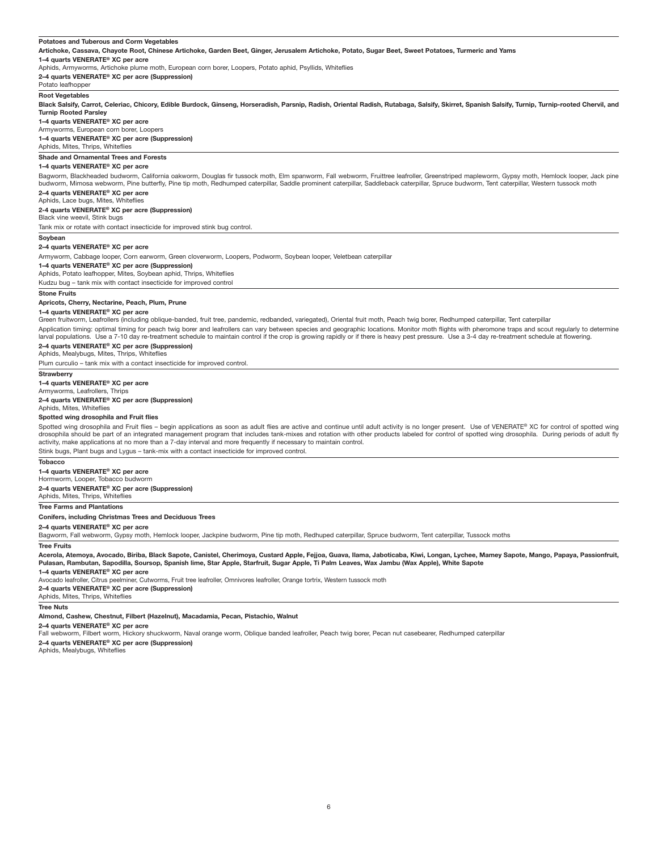#### **Potatoes and Tuberous and Corm Vegetables**

**Artichoke, Cassava, Chayote Root, Chinese Artichoke, Garden Beet, Ginger, Jerusalem Artichoke, Potato, Sugar Beet, Sweet Potatoes, Turmeric and Yams** 

#### **1–4 quarts VENERATE® XC per acre**

Aphids, Armyworms, Artichoke plume moth, European corn borer, Loopers, Potato aphid, Psyllids, Whiteflies

**2–4 quarts VENERATE® XC per acre (Suppression)**

### Potato leafhopper

**Root Vegetables** 

**Black Salsify, Carrot, Celeriac, Chicory, Edible Burdock, Ginseng, Horseradish, Parsnip, Radish, Oriental Radish, Rutabaga, Salsify, Skirret, Spanish Salsify, Turnip, Turnip-rooted Chervil, and Turnip Rooted Parsley**

#### **1–4 quarts VENERATE® XC per acre**

Armyworms, European corn borer, Loopers

**1–4 quarts VENERATE® XC per acre (Suppression)**

### Aphids, Mites, Thrips, Whiteflies

#### **Shade and Ornamental Trees and Forests**

**1–4 quarts VENERATE® XC per acre**

Bagworm, Blackheaded budworm, California oakworm, Douglas fir tussock moth, Elm spanworm, Fall webworm, Fruittree leafroller, Greenstriped mapleworm, Gypsy moth, Hemlock looper, Jack pine budworm, Mimosa webworm, Pine butterfly, Pine tip moth, Redhumped caterpillar, Saddle prominent caterpillar, Saddleback caterpillar, Spruce budworm, Tent caterpillar, Western tussock moth

#### **2–4 quarts VENERATE® XC per acre**

Aphids, Lace bugs, Mites, Whiteflies

#### **2-4 quarts VENERATE® XC per acre (Suppression)**

Black vine weevil, Stink bugs Tank mix or rotate with contact insecticide for improved stink bug control.

**Soybean**

#### **2–4 quarts VENERATE® XC per acre**

Armyworm, Cabbage looper, Corn earworm, Green cloverworm, Loopers, Podworm, Soybean looper, Veletbean caterpillar

**1–4 quarts VENERATE® XC per acre (Suppression)**

#### Aphids, Potato leafhopper, Mites, Soybean aphid, Thrips, Whiteflies

Kudzu bug – tank mix with contact insecticide for improved control

#### **Stone Fruits**

**Apricots, Cherry, Nectarine, Peach, Plum, Prune** 

#### **1–4 quarts VENERATE® XC per acre**

Green fruitworm, Leafrollers (including oblique-banded, fruit tree, pandemic, redbanded, variegated), Oriental fruit moth, Peach twig borer, Redhumped caterpillar, Tent caterpillar Application timing: optimal timing for peach twig borer and leafrollers can vary between species and geographic locations. Monitor moth flights with pheromone traps and scout regularly to determine larval populations. Use a 7-10 day re-treatment schedule to maintain control if the crop is growing rapidly or if there is heavy pest pressure. Use a 3-4 day re-treatment schedule at flowering.

#### **2–4 quarts VENERATE® XC per acre (Suppression)**

Aphids, Mealybugs, Mites, Thrips, Whiteflies

Plum curculio – tank mix with a contact insecticide for improved control.

#### **Strawberry**

**1–4 quarts VENERATE® XC per acre**

#### Armyworms, Leafrollers, Thrips

**2–4 quarts VENERATE® XC per acre (Suppression)**

#### Aphids, Mites, Whiteflies

#### **Spotted wing drosophila and Fruit flies**

Spotted wing drosophila and Fruit flies - begin applications as soon as adult flies are active and continue until adult activity is no longer present. Use of VENERATE® XC for control of spotted wing drosophila should be part of an integrated management program that includes tank-mixes and rotation with other products labeled for control of spotted wing drosophila. During periods of adult fly activity, make applications at no more than a 7-day interval and more frequently if necessary to maintain control. Stink bugs, Plant bugs and Lygus – tank-mix with a contact insecticide for improved control.

**Tobacco**

**1–4 quarts VENERATE® XC per acre**

#### Hormworm, Looper, Tobacco budworm

**2–4 quarts VENERATE® XC per acre (Suppression)**

#### Aphids, Mites, Thrips, Whiteflies

**Tree Farms and Plantations**

#### **Conifers, including Christmas Trees and Deciduous Trees**

**2–4 quarts VENERATE® XC per acre**

Bagworm, Fall webworm, Gypsy moth, Hemlock looper, Jackpine budworm, Pine tip moth, Redhuped caterpillar, Spruce budworm, Tent caterpillar, Tussock moths

#### **Tree Fruits**

**Acerola, Atemoya, Avocado, Biriba, Black Sapote, Canistel, Cherimoya, Custard Apple, Fejjoa, Guava, Ilama, Jaboticaba, Kiwi, Longan, Lychee, Mamey Sapote, Mango, Papaya, Passionfruit, Pulasan, Rambutan, Sapodilla, Soursop, Spanish lime, Star Apple, Starfruit, Sugar Apple, Ti Palm Leaves, Wax Jambu (Wax Apple), White Sapote**

#### **1–4 quarts VENERATE® XC per acre**

Avocado leafroller, Citrus peelminer, Cutworms, Fruit tree leafroller, Omnivores leafroller, Orange tortrix, Western tussock moth

**2–4 quarts VENERATE® XC per acre (Suppression)**

#### Aphids, Mites, Thrips, Whiteflies

#### **Tree Nuts**

**Almond, Cashew, Chestnut, Filbert (Hazelnut), Macadamia, Pecan, Pistachio, Walnut**

#### **2–4 quarts VENERATE® XC per acre**

Fall webworm, Filbert worm, Hickory shuckworm, Naval orange worm, Oblique banded leafroller, Peach twig borer, Pecan nut casebearer, Redhumped caterpillar

**2–4 quarts VENERATE® XC per acre (Suppression)**

Aphids, Mealybugs, Whiteflies